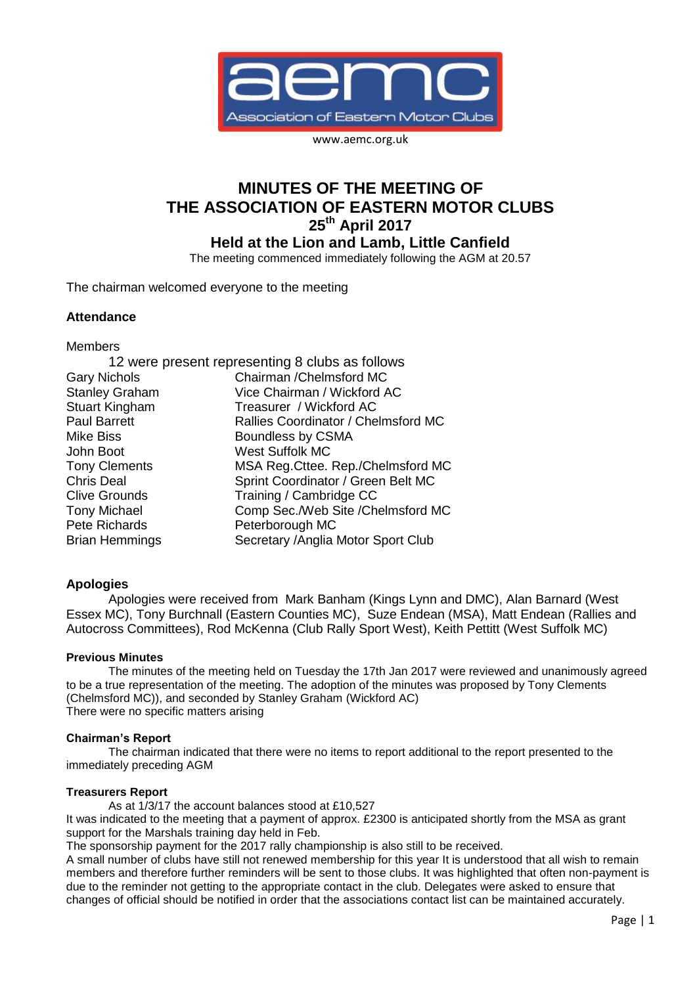

www.aemc.org.uk

# **MINUTES OF THE MEETING OF THE ASSOCIATION OF EASTERN MOTOR CLUBS 25th April 2017**

**Held at the Lion and Lamb, Little Canfield**

The meeting commenced immediately following the AGM at 20.57

The chairman welcomed everyone to the meeting

## **Attendance**

Members

|                       | 12 were present representing 8 clubs as follows |
|-----------------------|-------------------------------------------------|
| <b>Gary Nichols</b>   | Chairman / Chelmsford MC                        |
| <b>Stanley Graham</b> | Vice Chairman / Wickford AC                     |
| Stuart Kingham        | Treasurer / Wickford AC                         |
| <b>Paul Barrett</b>   | Rallies Coordinator / Chelmsford MC             |
| <b>Mike Biss</b>      | Boundless by CSMA                               |
| John Boot             | <b>West Suffolk MC</b>                          |
| <b>Tony Clements</b>  | MSA Reg. Cttee. Rep./Chelmsford MC              |
| <b>Chris Deal</b>     | Sprint Coordinator / Green Belt MC              |
| <b>Clive Grounds</b>  | Training / Cambridge CC                         |
| <b>Tony Michael</b>   | Comp Sec./Web Site /Chelmsford MC               |
| Pete Richards         | Peterborough MC                                 |
| <b>Brian Hemmings</b> | Secretary / Anglia Motor Sport Club             |

# **Apologies**

Apologies were received from Mark Banham (Kings Lynn and DMC), Alan Barnard (West Essex MC), Tony Burchnall (Eastern Counties MC), Suze Endean (MSA), Matt Endean (Rallies and Autocross Committees), Rod McKenna (Club Rally Sport West), Keith Pettitt (West Suffolk MC)

## **Previous Minutes**

The minutes of the meeting held on Tuesday the 17th Jan 2017 were reviewed and unanimously agreed to be a true representation of the meeting. The adoption of the minutes was proposed by Tony Clements (Chelmsford MC)), and seconded by Stanley Graham (Wickford AC) There were no specific matters arising

## **Chairman's Report**

The chairman indicated that there were no items to report additional to the report presented to the immediately preceding AGM

#### **Treasurers Report**

As at 1/3/17 the account balances stood at £10,527

It was indicated to the meeting that a payment of approx. £2300 is anticipated shortly from the MSA as grant support for the Marshals training day held in Feb.

The sponsorship payment for the 2017 rally championship is also still to be received.

A small number of clubs have still not renewed membership for this year It is understood that all wish to remain members and therefore further reminders will be sent to those clubs. It was highlighted that often non-payment is due to the reminder not getting to the appropriate contact in the club. Delegates were asked to ensure that changes of official should be notified in order that the associations contact list can be maintained accurately.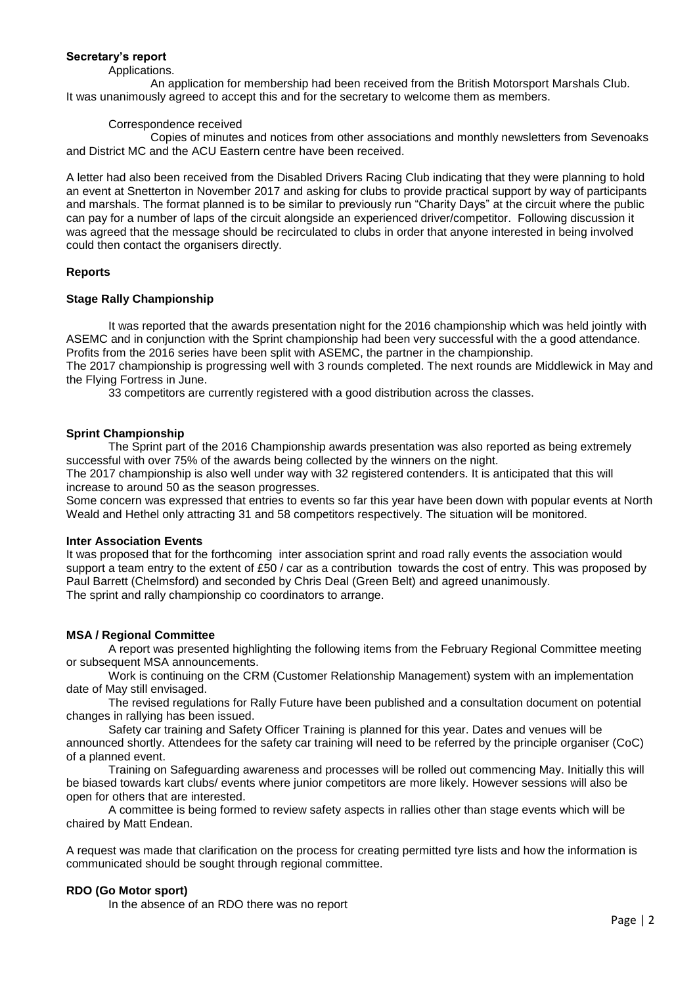## **Secretary's report**

#### Applications.

An application for membership had been received from the British Motorsport Marshals Club. It was unanimously agreed to accept this and for the secretary to welcome them as members.

#### Correspondence received

Copies of minutes and notices from other associations and monthly newsletters from Sevenoaks and District MC and the ACU Eastern centre have been received.

A letter had also been received from the Disabled Drivers Racing Club indicating that they were planning to hold an event at Snetterton in November 2017 and asking for clubs to provide practical support by way of participants and marshals. The format planned is to be similar to previously run "Charity Days" at the circuit where the public can pay for a number of laps of the circuit alongside an experienced driver/competitor. Following discussion it was agreed that the message should be recirculated to clubs in order that anyone interested in being involved could then contact the organisers directly.

## **Reports**

## **Stage Rally Championship**

It was reported that the awards presentation night for the 2016 championship which was held jointly with ASEMC and in conjunction with the Sprint championship had been very successful with the a good attendance. Profits from the 2016 series have been split with ASEMC, the partner in the championship.

The 2017 championship is progressing well with 3 rounds completed. The next rounds are Middlewick in May and the Flying Fortress in June.

33 competitors are currently registered with a good distribution across the classes.

## **Sprint Championship**

The Sprint part of the 2016 Championship awards presentation was also reported as being extremely successful with over 75% of the awards being collected by the winners on the night.

The 2017 championship is also well under way with 32 registered contenders. It is anticipated that this will increase to around 50 as the season progresses.

Some concern was expressed that entries to events so far this year have been down with popular events at North Weald and Hethel only attracting 31 and 58 competitors respectively. The situation will be monitored.

#### **Inter Association Events**

It was proposed that for the forthcoming inter association sprint and road rally events the association would support a team entry to the extent of £50 / car as a contribution towards the cost of entry. This was proposed by Paul Barrett (Chelmsford) and seconded by Chris Deal (Green Belt) and agreed unanimously. The sprint and rally championship co coordinators to arrange.

#### **MSA / Regional Committee**

A report was presented highlighting the following items from the February Regional Committee meeting or subsequent MSA announcements.

Work is continuing on the CRM (Customer Relationship Management) system with an implementation date of May still envisaged.

The revised regulations for Rally Future have been published and a consultation document on potential changes in rallying has been issued.

Safety car training and Safety Officer Training is planned for this year. Dates and venues will be announced shortly. Attendees for the safety car training will need to be referred by the principle organiser (CoC) of a planned event.

Training on Safeguarding awareness and processes will be rolled out commencing May. Initially this will be biased towards kart clubs/ events where junior competitors are more likely. However sessions will also be open for others that are interested.

A committee is being formed to review safety aspects in rallies other than stage events which will be chaired by Matt Endean.

A request was made that clarification on the process for creating permitted tyre lists and how the information is communicated should be sought through regional committee.

## **RDO (Go Motor sport)**

In the absence of an RDO there was no report